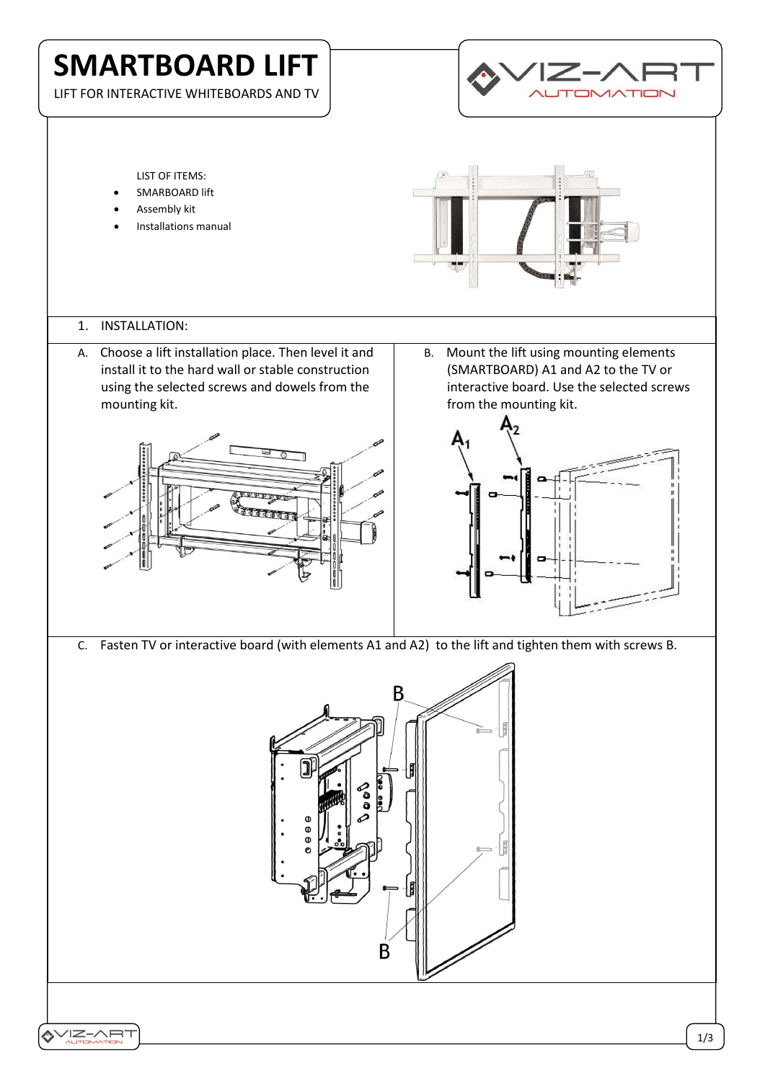# **SMARTBOARD LIFT**

LIFT FOR INTERACTIVE WHITEBOARDS AND TV



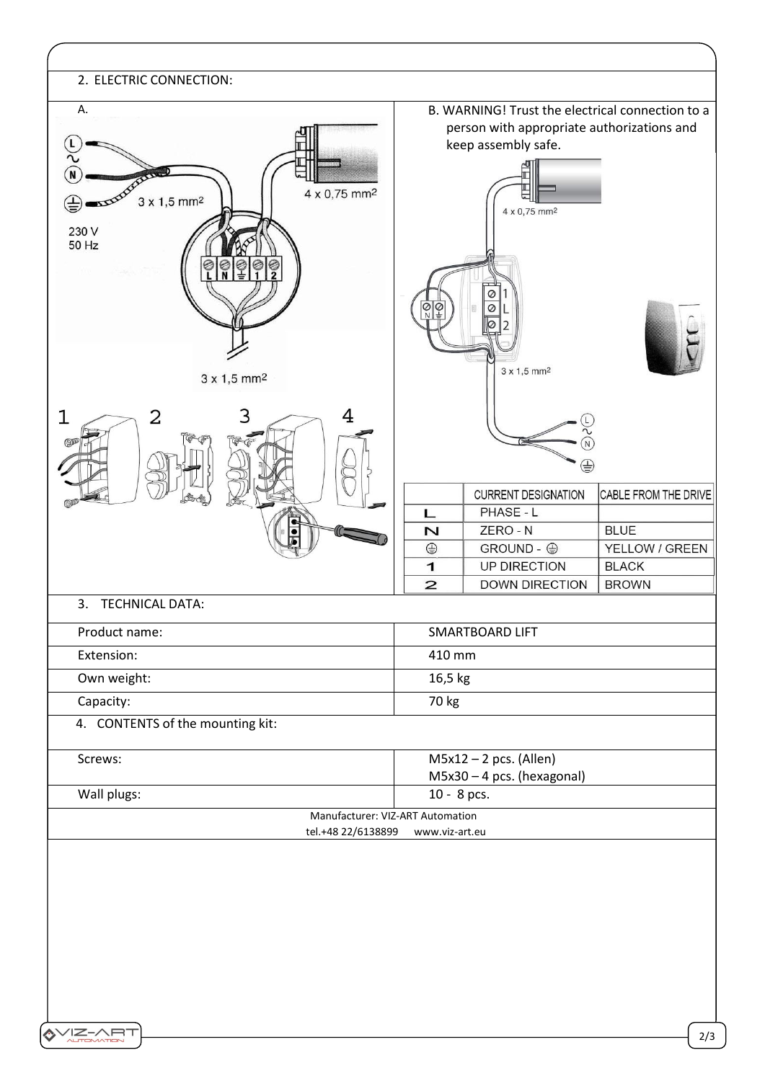| 2. ELECTRIC CONNECTION:                                                                                                                                          |                                                                                                                       |                              |
|------------------------------------------------------------------------------------------------------------------------------------------------------------------|-----------------------------------------------------------------------------------------------------------------------|------------------------------|
| А.                                                                                                                                                               | B. WARNING! Trust the electrical connection to a<br>person with appropriate authorizations and<br>keep assembly safe. |                              |
| 4 x 0,75 mm <sup>2</sup><br>$3 \times 1,5$ mm <sup>2</sup><br>230 V<br>50 Hz<br>$\begin{array}{c} \circ & \circ & \circ \\ \circ & \circ & \circ \\ \end{array}$ | 4 x 0,75 mm <sup>2</sup>                                                                                              |                              |
| $3 \times 1,5$ mm <sup>2</sup>                                                                                                                                   | $\circ$<br>$\frac{1}{\sqrt{2}}$<br>Ø<br>$3 \times 1,5$ mm <sup>2</sup>                                                |                              |
| 1<br>2<br>4                                                                                                                                                      | ${\sf N}$<br>⊜                                                                                                        |                              |
|                                                                                                                                                                  | <b>CURRENT DESIGNATION</b><br>PHASE - L<br>L                                                                          | CABLE FROM THE DRIVE         |
|                                                                                                                                                                  | ZERO - N<br>$\overline{\mathsf{N}}$                                                                                   | <b>BLUE</b>                  |
|                                                                                                                                                                  | $\oplus$<br>GROUND - ⊕                                                                                                | YELLOW / GREEN               |
|                                                                                                                                                                  | UP DIRECTION<br>$\mathbf{1}$<br>$\overline{a}$<br><b>DOWN DIRECTION</b>                                               | <b>BLACK</b><br><b>BROWN</b> |
| <b>TECHNICAL DATA:</b><br>3.                                                                                                                                     |                                                                                                                       |                              |
| Product name:                                                                                                                                                    | SMARTBOARD LIFT                                                                                                       |                              |
| Extension:                                                                                                                                                       | 410 mm                                                                                                                |                              |
| Own weight:                                                                                                                                                      | 16,5 kg                                                                                                               |                              |
| Capacity:                                                                                                                                                        | 70 kg                                                                                                                 |                              |
| 4. CONTENTS of the mounting kit:                                                                                                                                 |                                                                                                                       |                              |
| Screws:                                                                                                                                                          | $M5x12 - 2 pcs.$ (Allen)<br>$M5x30 - 4$ pcs. (hexagonal)                                                              |                              |
| Wall plugs:                                                                                                                                                      | 10 - 8 pcs.                                                                                                           |                              |
| Manufacturer: VIZ-ART Automation                                                                                                                                 |                                                                                                                       |                              |
| tel.+48 22/6138899<br>www.viz-art.eu                                                                                                                             |                                                                                                                       |                              |
|                                                                                                                                                                  |                                                                                                                       |                              |
|                                                                                                                                                                  |                                                                                                                       |                              |
|                                                                                                                                                                  |                                                                                                                       |                              |
|                                                                                                                                                                  |                                                                                                                       |                              |
|                                                                                                                                                                  |                                                                                                                       |                              |
|                                                                                                                                                                  |                                                                                                                       |                              |
|                                                                                                                                                                  |                                                                                                                       |                              |